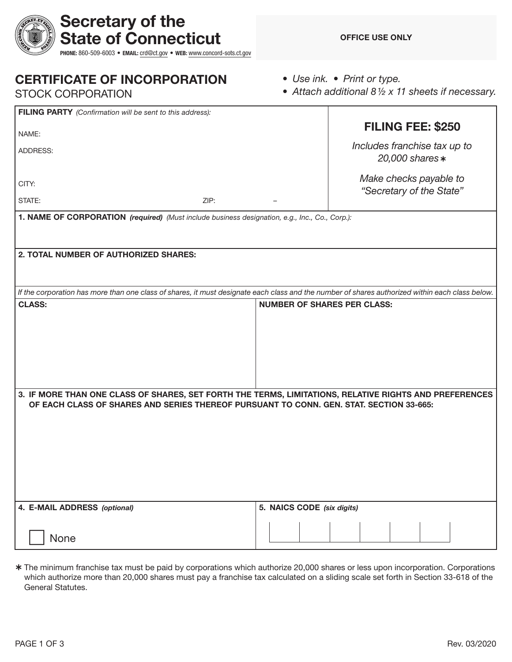## CERTIFICATE OF INCORPORATION

Secretary of the

State of Connecticut

PHONE: 860-509-6003 • EMAIL: crd@ct.gov • WEB: www.concord-sots.ct.gov

- OFFICE USE ONLY
- *• Use ink. • Print or type.*
- *• Attach additional 81/2 x 11 sheets if necessary.*

| FILING PARTY (Confirmation will be sent to this address):                                                                                       |                                    |
|-------------------------------------------------------------------------------------------------------------------------------------------------|------------------------------------|
| NAME:                                                                                                                                           | <b>FILING FEE: \$250</b>           |
|                                                                                                                                                 |                                    |
| <b>ADDRESS:</b>                                                                                                                                 | Includes franchise tax up to       |
|                                                                                                                                                 | 20,000 shares *                    |
|                                                                                                                                                 | Make checks payable to             |
| CITY:                                                                                                                                           |                                    |
| STATE:<br>ZIP:                                                                                                                                  | "Secretary of the State"           |
|                                                                                                                                                 |                                    |
| 1. NAME OF CORPORATION (required) (Must include business designation, e.g., Inc., Co., Corp.):                                                  |                                    |
|                                                                                                                                                 |                                    |
|                                                                                                                                                 |                                    |
| 2. TOTAL NUMBER OF AUTHORIZED SHARES:                                                                                                           |                                    |
|                                                                                                                                                 |                                    |
|                                                                                                                                                 |                                    |
| If the corporation has more than one class of shares, it must designate each class and the number of shares authorized within each class below. |                                    |
| <b>CLASS:</b>                                                                                                                                   | <b>NUMBER OF SHARES PER CLASS:</b> |
|                                                                                                                                                 |                                    |
|                                                                                                                                                 |                                    |
|                                                                                                                                                 |                                    |
|                                                                                                                                                 |                                    |
|                                                                                                                                                 |                                    |
|                                                                                                                                                 |                                    |
|                                                                                                                                                 |                                    |
| 3. IF MORE THAN ONE CLASS OF SHARES, SET FORTH THE TERMS, LIMITATIONS, RELATIVE RIGHTS AND PREFERENCES                                          |                                    |
| OF EACH CLASS OF SHARES AND SERIES THEREOF PURSUANT TO CONN. GEN. STAT. SECTION 33-665:                                                         |                                    |
|                                                                                                                                                 |                                    |
|                                                                                                                                                 |                                    |
|                                                                                                                                                 |                                    |
|                                                                                                                                                 |                                    |
|                                                                                                                                                 |                                    |
|                                                                                                                                                 |                                    |
|                                                                                                                                                 |                                    |
|                                                                                                                                                 |                                    |
| 4. E-MAIL ADDRESS (optional)                                                                                                                    | 5. NAICS CODE (six digits)         |
|                                                                                                                                                 |                                    |
|                                                                                                                                                 |                                    |
| None                                                                                                                                            |                                    |
|                                                                                                                                                 |                                    |

\* The minimum franchise tax must be paid by corporations which authorize 20,000 shares or less upon incorporation. Corporations which authorize more than 20,000 shares must pay a franchise tax calculated on a sliding scale set forth in Section 33-618 of the General Statutes.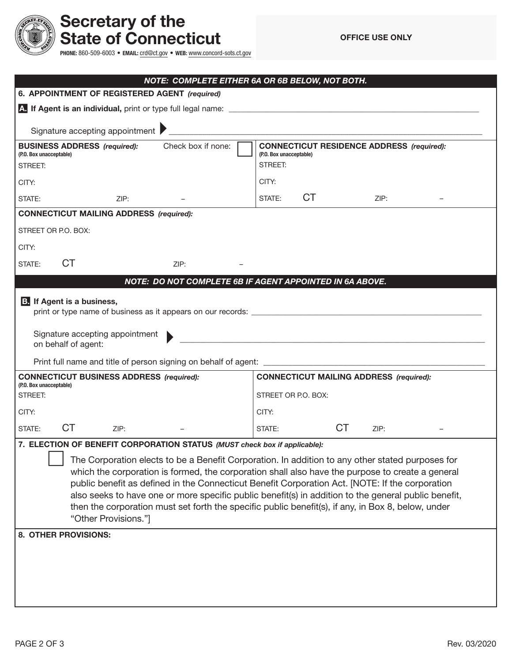

## Secretary of the State of Connecticut

PHONE: 860-509-6003 • EMAIL: crd@ct.gov • WEB: www.concord-sots.ct.gov

|                                                                                                                                                                                                                                                                                                                                                                                                                                                                                                                                               |           |                                                | NOTE: COMPLETE EITHER 6A OR 6B BELOW, NOT BOTH.                           |                                    |                     |                                                |                                                  |  |
|-----------------------------------------------------------------------------------------------------------------------------------------------------------------------------------------------------------------------------------------------------------------------------------------------------------------------------------------------------------------------------------------------------------------------------------------------------------------------------------------------------------------------------------------------|-----------|------------------------------------------------|---------------------------------------------------------------------------|------------------------------------|---------------------|------------------------------------------------|--------------------------------------------------|--|
| 6. APPOINTMENT OF REGISTERED AGENT (required)                                                                                                                                                                                                                                                                                                                                                                                                                                                                                                 |           |                                                |                                                                           |                                    |                     |                                                |                                                  |  |
|                                                                                                                                                                                                                                                                                                                                                                                                                                                                                                                                               |           |                                                |                                                                           |                                    |                     |                                                |                                                  |  |
| <u> 1980 - Jan Stein Stein Stein Stein Stein Stein Stein Stein Stein Stein Stein Stein Stein Stein Stein Stein S</u><br>Signature accepting appointment                                                                                                                                                                                                                                                                                                                                                                                       |           |                                                |                                                                           |                                    |                     |                                                |                                                  |  |
| (P.O. Box unacceptable)<br>STREET:                                                                                                                                                                                                                                                                                                                                                                                                                                                                                                            |           |                                                | <b>BUSINESS ADDRESS</b> (required): Check box if none:                    | (P.O. Box unacceptable)<br>STREET: |                     |                                                | <b>CONNECTICUT RESIDENCE ADDRESS (required):</b> |  |
| CITY:                                                                                                                                                                                                                                                                                                                                                                                                                                                                                                                                         |           |                                                |                                                                           | CITY:                              |                     |                                                |                                                  |  |
| STATE:                                                                                                                                                                                                                                                                                                                                                                                                                                                                                                                                        |           | ZIP:                                           |                                                                           | STATE:                             | <b>CT</b>           |                                                | ZIP:                                             |  |
|                                                                                                                                                                                                                                                                                                                                                                                                                                                                                                                                               |           | <b>CONNECTICUT MAILING ADDRESS (required):</b> |                                                                           |                                    |                     |                                                |                                                  |  |
| STREET OR P.O. BOX:                                                                                                                                                                                                                                                                                                                                                                                                                                                                                                                           |           |                                                |                                                                           |                                    |                     |                                                |                                                  |  |
| CITY:                                                                                                                                                                                                                                                                                                                                                                                                                                                                                                                                         |           |                                                |                                                                           |                                    |                     |                                                |                                                  |  |
| STATE:                                                                                                                                                                                                                                                                                                                                                                                                                                                                                                                                        | <b>CT</b> |                                                | ZIP:                                                                      |                                    |                     |                                                |                                                  |  |
|                                                                                                                                                                                                                                                                                                                                                                                                                                                                                                                                               |           |                                                | NOTE: DO NOT COMPLETE 6B IF AGENT APPOINTED IN 6A ABOVE.                  |                                    |                     |                                                |                                                  |  |
| <b>B.</b> If Agent is a business,<br>Signature accepting appointment<br>on behalf of agent:                                                                                                                                                                                                                                                                                                                                                                                                                                                   |           |                                                |                                                                           |                                    |                     |                                                |                                                  |  |
| <b>CONNECTICUT BUSINESS ADDRESS (required):</b><br>(P.O. Box unacceptable)                                                                                                                                                                                                                                                                                                                                                                                                                                                                    |           |                                                |                                                                           |                                    |                     | <b>CONNECTICUT MAILING ADDRESS (required):</b> |                                                  |  |
| STREET:                                                                                                                                                                                                                                                                                                                                                                                                                                                                                                                                       |           |                                                |                                                                           |                                    | STREET OR P.O. BOX: |                                                |                                                  |  |
| CITY:                                                                                                                                                                                                                                                                                                                                                                                                                                                                                                                                         |           |                                                |                                                                           | CITY:                              |                     |                                                |                                                  |  |
| STATE:                                                                                                                                                                                                                                                                                                                                                                                                                                                                                                                                        | <b>CT</b> | ZIP:                                           |                                                                           | STATE:                             |                     | <b>CT</b>                                      | ZIP:                                             |  |
|                                                                                                                                                                                                                                                                                                                                                                                                                                                                                                                                               |           |                                                | 7. ELECTION OF BENEFIT CORPORATION STATUS (MUST check box if applicable): |                                    |                     |                                                |                                                  |  |
| The Corporation elects to be a Benefit Corporation. In addition to any other stated purposes for<br>which the corporation is formed, the corporation shall also have the purpose to create a general<br>public benefit as defined in the Connecticut Benefit Corporation Act. [NOTE: If the corporation<br>also seeks to have one or more specific public benefit(s) in addition to the general public benefit,<br>then the corporation must set forth the specific public benefit(s), if any, in Box 8, below, under<br>"Other Provisions."] |           |                                                |                                                                           |                                    |                     |                                                |                                                  |  |
| 8. OTHER PROVISIONS:                                                                                                                                                                                                                                                                                                                                                                                                                                                                                                                          |           |                                                |                                                                           |                                    |                     |                                                |                                                  |  |
|                                                                                                                                                                                                                                                                                                                                                                                                                                                                                                                                               |           |                                                |                                                                           |                                    |                     |                                                |                                                  |  |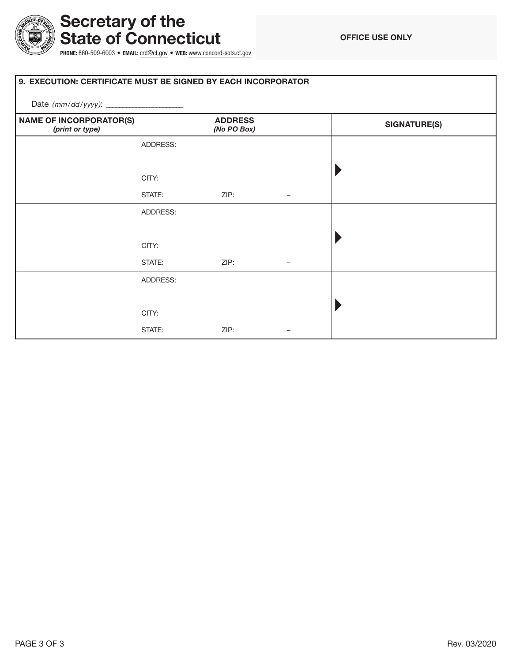

# Secretary of the State of Connecticut

PHONE: 860-509-6003 • EMAIL: crd@ct.gov • WEB: www.concord-sots.ct.gov

| 9. EXECUTION: CERTIFICATE MUST BE SIGNED BY EACH INCORPORATOR |          |                               |  |  |                     |  |  |  |
|---------------------------------------------------------------|----------|-------------------------------|--|--|---------------------|--|--|--|
|                                                               |          |                               |  |  |                     |  |  |  |
| <b>NAME OF INCORPORATOR(S)</b><br>(print or type)             |          | <b>ADDRESS</b><br>(No PO Box) |  |  | <b>SIGNATURE(S)</b> |  |  |  |
|                                                               | ADDRESS: |                               |  |  |                     |  |  |  |
|                                                               |          |                               |  |  |                     |  |  |  |
|                                                               | CITY:    |                               |  |  |                     |  |  |  |
|                                                               | STATE:   | ZIP:                          |  |  |                     |  |  |  |
|                                                               | ADDRESS: |                               |  |  |                     |  |  |  |
|                                                               |          |                               |  |  |                     |  |  |  |
|                                                               | CITY:    |                               |  |  |                     |  |  |  |
|                                                               | STATE:   | ZIP:                          |  |  |                     |  |  |  |
|                                                               | ADDRESS: |                               |  |  |                     |  |  |  |
|                                                               |          |                               |  |  |                     |  |  |  |
|                                                               | CITY:    |                               |  |  |                     |  |  |  |
|                                                               | STATE:   | ZIP:                          |  |  |                     |  |  |  |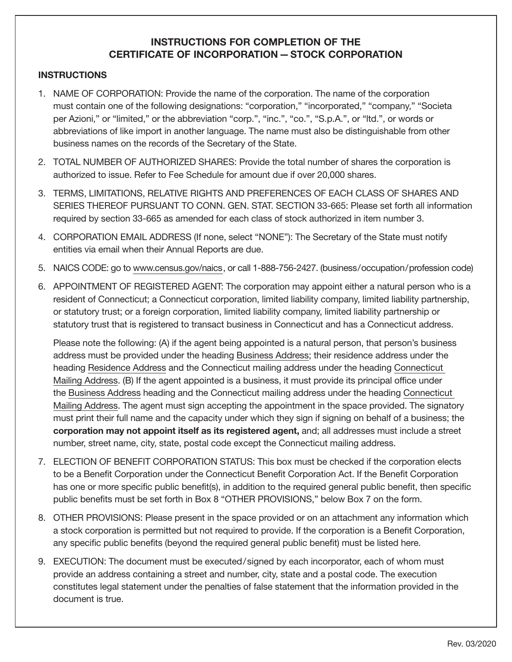## INSTRUCTIONS FOR COMPLETION OF THE CERTIFICATE OF INCORPORATION—STOCK CORPORATION

#### **INSTRUCTIONS**

- 1. NAME OF CORPORATION: Provide the name of the corporation. The name of the corporation must contain one of the following designations: "corporation," "incorporated," "company," "Societa per Azioni," or "limited," or the abbreviation "corp.", "inc.", "co.", "S.p.A.", or "ltd.", or words or abbreviations of like import in another language. The name must also be distinguishable from other business names on the records of the Secretary of the State.
- 2. TOTAL NUMBER OF AUTHORIZED SHARES: Provide the total number of shares the corporation is authorized to issue. Refer to Fee Schedule for amount due if over 20,000 shares.
- 3. TERMS, LIMITATIONS, RELATIVE RIGHTS AND PREFERENCES OF EACH CLASS OF SHARES AND SERIES THEREOF PURSUANT TO CONN. GEN. STAT. SECTION 33-665: Please set forth all information required by section 33-665 as amended for each class of stock authorized in item number 3.
- 4. CORPORATION EMAIL ADDRESS (If none, select "NONE"): The Secretary of the State must notify entities via email when their Annual Reports are due.
- 5. NAICS CODE: go to www.census.gov/naics, or call 1-888-756-2427. (business/occupation/profession code)
- 6. APPOINTMENT OF REGISTERED AGENT: The corporation may appoint either a natural person who is a resident of Connecticut; a Connecticut corporation, limited liability company, limited liability partnership, or statutory trust; or a foreign corporation, limited liability company, limited liability partnership or statutory trust that is registered to transact business in Connecticut and has a Connecticut address.

Please note the following: (A) if the agent being appointed is a natural person, that person's business address must be provided under the heading Business Address; their residence address under the heading Residence Address and the Connecticut mailing address under the heading Connecticut Mailing Address. (B) If the agent appointed is a business, it must provide its principal office under the Business Address heading and the Connecticut mailing address under the heading Connecticut Mailing Address. The agent must sign accepting the appointment in the space provided. The signatory must print their full name and the capacity under which they sign if signing on behalf of a business; the corporation may not appoint itself as its registered agent, and; all addresses must include a street number, street name, city, state, postal code except the Connecticut mailing address.

- 7. ELECTION OF BENEFIT CORPORATION STATUS: This box must be checked if the corporation elects to be a Benefit Corporation under the Connecticut Benefit Corporation Act. If the Benefit Corporation has one or more specific public benefit(s), in addition to the required general public benefit, then specific public benefits must be set forth in Box 8 "OTHER PROVISIONS," below Box 7 on the form.
- 8. OTHER PROVISIONS: Please present in the space provided or on an attachment any information which a stock corporation is permitted but not required to provide. If the corporation is a Benefit Corporation, any specific public benefits (beyond the required general public benefit) must be listed here.
- 9. EXECUTION: The document must be executed/signed by each incorporator, each of whom must provide an address containing a street and number, city, state and a postal code. The execution constitutes legal statement under the penalties of false statement that the information provided in the document is true.